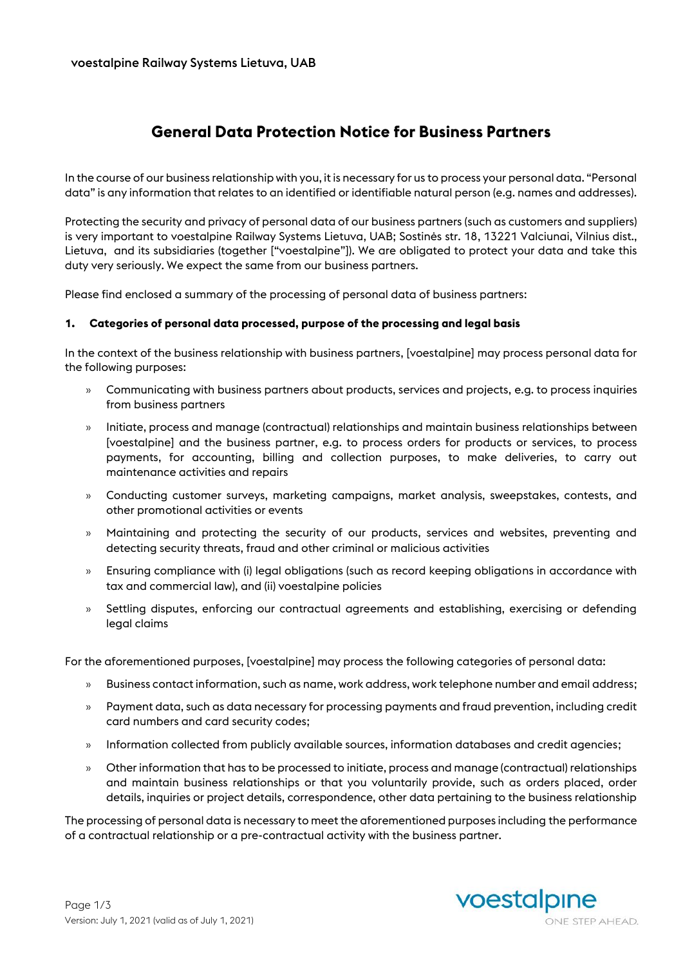# **General Data Protection Notice for Business Partners**

In the course of our business relationship with you, it is necessary for us to process your personal data. "Personal data" is any information that relates to an identified or identifiable natural person (e.g. names and addresses).

Protecting the security and privacy of personal data of our business partners (such as customers and suppliers) is very important to voestalpine Railway Systems Lietuva, UAB; Sostinės str. 18, 13221 Valciunai, Vilnius dist., Lietuva, and its subsidiaries (together ["voestalpine"]). We are obligated to protect your data and take this duty very seriously. We expect the same from our business partners.

Please find enclosed a summary of the processing of personal data of business partners:

#### **1. Categories of personal data processed, purpose of the processing and legal basis**

In the context of the business relationship with business partners, [voestalpine] may process personal data for the following purposes:

- » Communicating with business partners about products, services and projects, e.g. to process inquiries from business partners
- » Initiate, process and manage (contractual) relationships and maintain business relationships between [voestalpine] and the business partner, e.g. to process orders for products or services, to process payments, for accounting, billing and collection purposes, to make deliveries, to carry out maintenance activities and repairs
- » Conducting customer surveys, marketing campaigns, market analysis, sweepstakes, contests, and other promotional activities or events
- » Maintaining and protecting the security of our products, services and websites, preventing and detecting security threats, fraud and other criminal or malicious activities
- » Ensuring compliance with (i) legal obligations (such as record keeping obligations in accordance with tax and commercial law), and (ii) voestalpine policies
- » Settling disputes, enforcing our contractual agreements and establishing, exercising or defending legal claims

For the aforementioned purposes, [voestalpine] may process the following categories of personal data:

- » Business contact information, such as name, work address, work telephone number and email address;
- » Payment data, such as data necessary for processing payments and fraud prevention, including credit card numbers and card security codes;
- » Information collected from publicly available sources, information databases and credit agencies;
- » Other information that has to be processed to initiate, process and manage (contractual) relationships and maintain business relationships or that you voluntarily provide, such as orders placed, order details, inquiries or project details, correspondence, other data pertaining to the business relationship

The processing of personal data is necessary to meet the aforementioned purposes including the performance of a contractual relationship or a pre-contractual activity with the business partner.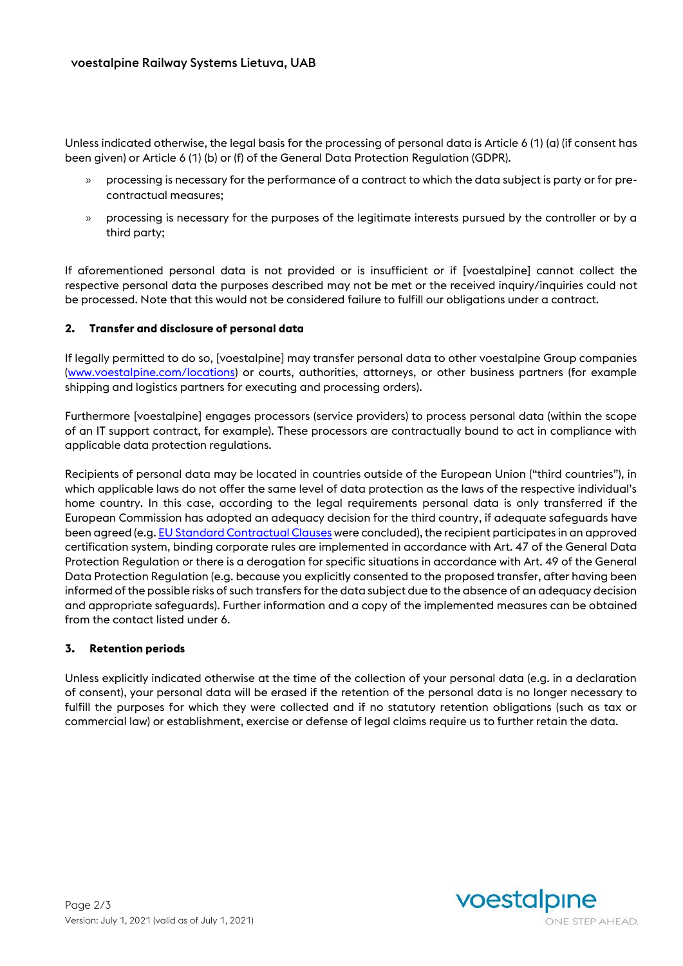Unless indicated otherwise, the legal basis for the processing of personal data is Article 6 (1) (a) (if consent has been given) or Article 6 (1) (b) or (f) of the General Data Protection Regulation (GDPR).

- » processing is necessary for the performance of a contract to which the data subject is party or for precontractual measures;
- » processing is necessary for the purposes of the legitimate interests pursued by the controller or by a third party;

If aforementioned personal data is not provided or is insufficient or if [voestalpine] cannot collect the respective personal data the purposes described may not be met or the received inquiry/inquiries could not be processed. Note that this would not be considered failure to fulfill our obligations under a contract.

### **2. Transfer and disclosure of personal data**

If legally permitted to do so, [voestalpine] may transfer personal data to other voestalpine Group companies [\(www.voestalpine.com/locations\)](http://www.voestalpine.com/locations) or courts, authorities, attorneys, or other business partners (for example shipping and logistics partners for executing and processing orders).

Furthermore [voestalpine] engages processors (service providers) to process personal data (within the scope of an IT support contract, for example). These processors are contractually bound to act in compliance with applicable data protection regulations.

Recipients of personal data may be located in countries outside of the European Union ("third countries"), in which applicable laws do not offer the same level of data protection as the laws of the respective individual's home country. In this case, according to the legal requirements personal data is only transferred if the European Commission has adopted an adequacy decision for the third country, if adequate safeguards have been agreed (e.g[. EU Standard Contractual Clauses](https://ec.europa.eu/info/law/law-topic/data-protection/data-transfers-outside-eu/model-contracts-transfer-personal-data-third-countries_en) were concluded), the recipient participates in an approved certification system, binding corporate rules are implemented in accordance with Art. 47 of the General Data Protection Regulation or there is a derogation for specific situations in accordance with Art. 49 of the General Data Protection Regulation (e.g. because you explicitly consented to the proposed transfer, after having been informed of the possible risks of such transfers for the data subject due to the absence of an adequacy decision and appropriate safeguards). Further information and a copy of the implemented measures can be obtained from the contact listed under 6.

### **3. Retention periods**

Unless explicitly indicated otherwise at the time of the collection of your personal data (e.g. in a declaration of consent), your personal data will be erased if the retention of the personal data is no longer necessary to fulfill the purposes for which they were collected and if no statutory retention obligations (such as tax or commercial law) or establishment, exercise or defense of legal claims require us to further retain the data.